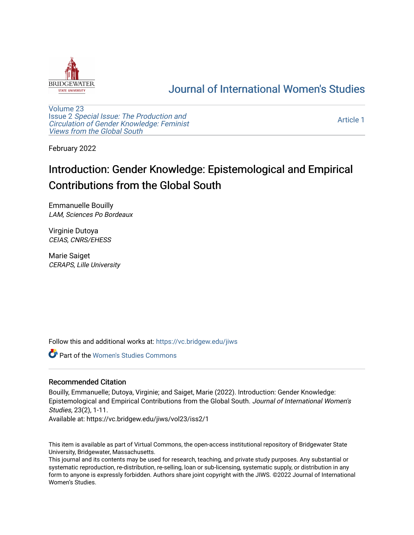

## [Journal of International Women's Studies](https://vc.bridgew.edu/jiws)

[Volume 23](https://vc.bridgew.edu/jiws/vol23) Issue 2 [Special Issue: The Production and](https://vc.bridgew.edu/jiws/vol23/iss2) [Circulation of Gender Knowledge: Feminist](https://vc.bridgew.edu/jiws/vol23/iss2)  [Views from the Global South](https://vc.bridgew.edu/jiws/vol23/iss2) 

[Article 1](https://vc.bridgew.edu/jiws/vol23/iss2/1) 

February 2022

# Introduction: Gender Knowledge: Epistemological and Empirical Contributions from the Global South

Emmanuelle Bouilly LAM, Sciences Po Bordeaux

Virginie Dutoya CEIAS, CNRS/EHESS

Marie Saiget CERAPS, Lille University

Follow this and additional works at: [https://vc.bridgew.edu/jiws](https://vc.bridgew.edu/jiws?utm_source=vc.bridgew.edu%2Fjiws%2Fvol23%2Fiss2%2F1&utm_medium=PDF&utm_campaign=PDFCoverPages)

Part of the [Women's Studies Commons](http://network.bepress.com/hgg/discipline/561?utm_source=vc.bridgew.edu%2Fjiws%2Fvol23%2Fiss2%2F1&utm_medium=PDF&utm_campaign=PDFCoverPages) 

## Recommended Citation

Bouilly, Emmanuelle; Dutoya, Virginie; and Saiget, Marie (2022). Introduction: Gender Knowledge: Epistemological and Empirical Contributions from the Global South. Journal of International Women's Studies, 23(2), 1-11.

Available at: https://vc.bridgew.edu/jiws/vol23/iss2/1

This item is available as part of Virtual Commons, the open-access institutional repository of Bridgewater State University, Bridgewater, Massachusetts.

This journal and its contents may be used for research, teaching, and private study purposes. Any substantial or systematic reproduction, re-distribution, re-selling, loan or sub-licensing, systematic supply, or distribution in any form to anyone is expressly forbidden. Authors share joint copyright with the JIWS. ©2022 Journal of International Women's Studies.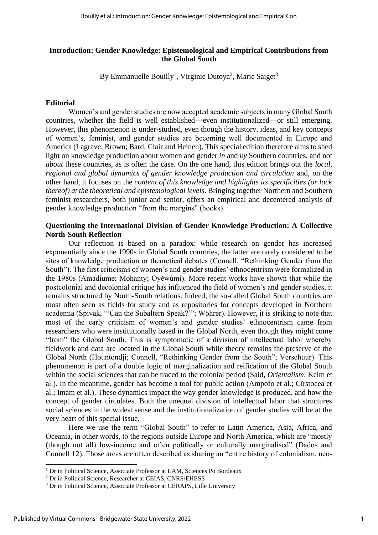### **Introduction: Gender Knowledge: Epistemological and Empirical Contributions from the Global South**

By Emmanuelle Bouilly<sup>1</sup>, Virginie Dutoya<sup>2</sup>, Marie Saiget<sup>3</sup>

#### **Editorial**

Women's and gender studies are now accepted academic subjects in many Global South countries, whether the field is well established—even institutionalized—or still emerging. However, this phenomenon is under-studied, even though the history, ideas, and key concepts of women's, feminist, and gender studies are becoming well documented in Europe and America (Lagrave; Brown; Bard; Clair and Heinen). This special edition therefore aims to shed light on knowledge production about women and gender *in* and *by* Southern countries, and not *about* these countries, as is often the case. On the one hand, this edition brings out the *local, regional and global dynamics of gender knowledge production and circulation* and, on the other hand, it focuses on the *content of this knowledge and highlights its specificities (or lack thereof) at the theoretical and epistemological levels*. Bringing together Northern and Southern feminist researchers, both junior and senior, offers an empirical and decentered analysis of gender knowledge production "from the margins" (hooks).

## **Questioning the International Division of Gender Knowledge Production: A Collective North-South Reflection**

Our reflection is based on a paradox: while research on gender has increased exponentially since the 1990s in Global South countries, the latter are rarely considered to be sites of knowledge production or theoretical debates (Connell, "Rethinking Gender from the South"). The first criticisms of women's and gender studies' ethnocentrism were formalized in the 1980s (Amadiume; Mohanty; Oyěwùmí). More recent works have shown that while the postcolonial and decolonial critique has influenced the field of women's and gender studies, it remains structured by North-South relations. Indeed, the so-called Global South countries are most often seen as fields for study and as repositories for concepts developed in Northern academia (Spivak, "'Can the Subaltern Speak?'"; Wöhrer). However, it is striking to note that most of the early criticism of women's and gender studies' ethnocentrism came from researchers who were institutionally based in the Global North, even though they might come "from" the Global South. This is symptomatic of a division of intellectual labor whereby fieldwork and data are located in the Global South while theory remains the preserve of the Global North (Hountondji; Connell, "Rethinking Gender from the South"; Verschuur). This phenomenon is part of a double logic of marginalization and reification of the Global South within the social sciences that can be traced to the colonial period (Said, *Orientalism*; Keim et al.). In the meantime, gender has become a tool for public action (Ampofo et al.; Cîrstocea et al.; Imam et al.). These dynamics impact the way gender knowledge is produced, and how the concept of gender circulates. Both the unequal division of intellectual labor that structures social sciences in the widest sense and the institutionalization of gender studies will be at the very heart of this special issue.

Here we use the term "Global South" to refer to Latin America, Asia, Africa, and Oceania, in other words, to the regions outside Europe and North America, which are "mostly (though not all) low-income and often politically or culturally marginalised" (Dados and Connell 12). Those areas are often described as sharing an "entire history of colonialism, neo-

<sup>&</sup>lt;sup>1</sup> Dr in Political Science, Associate Professor at LAM, Sciences Po Bordeaux

<sup>&</sup>lt;sup>2</sup> Dr in Political Science, Researcher at CEIAS, CNRS/EHESS

<sup>&</sup>lt;sup>3</sup> Dr in Political Science, Associate Professor at CERAPS, Lille University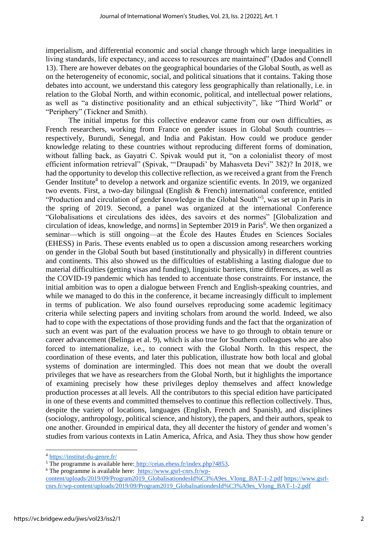imperialism, and differential economic and social change through which large inequalities in living standards, life expectancy, and access to resources are maintained" (Dados and Connell 13). There are however debates on the geographical boundaries of the Global South, as well as on the heterogeneity of economic, social, and political situations that it contains. Taking those debates into account, we understand this category less geographically than relationally, i.e. in relation to the Global North, and within economic, political, and intellectual power relations, as well as "a distinctive positionality and an ethical subjectivity", like "Third World" or "Periphery" (Tickner and Smith).

The initial impetus for this collective endeavor came from our own difficulties, as French researchers, working from France on gender issues in Global South countries respectively, Burundi, Senegal, and India and Pakistan. How could we produce gender knowledge relating to these countries without reproducing different forms of domination, without falling back, as Gayatri C. Spivak would put it, "on a colonialist theory of most efficient information retrieval" (Spivak, "'Draupadi' by Mahasveta Devi" 382)? In 2018, we had the opportunity to develop this collective reflection, as we received a grant from the French Gender Institute<sup>4</sup> to develop a network and organize scientific events. In 2019, we organized two events. First, a two-day bilingual (English & French) international conference, entitled "Production and circulation of gender knowledge in the Global South"<sup>5</sup>, was set up in Paris in the spring of 2019. Second, a panel was organized at the international Conference "Globalisations et circulations des idées, des savoirs et des normes" [Globalization and circulation of ideas, knowledge, and norms] in September 2019 in Paris<sup>6</sup>. We then organized a seminar—which is still ongoing—at the École des Hautes Études en Sciences Sociales (EHESS) in Paris. These events enabled us to open a discussion among researchers working on gender in the Global South but based (institutionally and physically) in different countries and continents. This also showed us the difficulties of establishing a lasting dialogue due to material difficulties (getting visas and funding), linguistic barriers, time differences, as well as the COVID-19 pandemic which has tended to accentuate those constraints. For instance, the initial ambition was to open a dialogue between French and English-speaking countries, and while we managed to do this in the conference, it became increasingly difficult to implement in terms of publication. We also found ourselves reproducing some academic legitimacy criteria while selecting papers and inviting scholars from around the world. Indeed, we also had to cope with the expectations of those providing funds and the fact that the organization of such an event was part of the evaluation process we have to go through to obtain tenure or career advancement (Belinga et al. 9), which is also true for Southern colleagues who are also forced to internationalize, i.e., to connect with the Global North. In this respect, the coordination of these events, and later this publication, illustrate how both local and global systems of domination are intermingled. This does not mean that we doubt the overall privileges that we have as researchers from the Global North, but it highlights the importance of examining precisely how these privileges deploy themselves and affect knowledge production processes at all levels. All the contributors to this special edition have participated in one of these events and committed themselves to continue this reflection collectively. Thus, despite the variety of locations, languages (English, French and Spanish), and disciplines (sociology, anthropology, political science, and history), the papers, and their authors, speak to one another. Grounded in empirical data, they all decenter the history of gender and women's studies from various contexts in Latin America, Africa, and Asia. They thus show how gender

<sup>4</sup> <https://institut-du-genre.fr/>

<sup>&</sup>lt;sup>5</sup> The programme is available here: [http://ceias.ehess.fr/index.php?4853.](http://ceias.ehess.fr/index.php?4853)

<sup>6</sup> The programme is available here: https://www.gsrl-cnrs.fr/wp-

content/uploads/2019/09/Program2019\_GlobalisationdesId%C3%A9es\_Vlong\_BAT-1-2.pdf [https://www.gsrl](https://www.gsrl-cnrs.fr/wp-content/uploads/2019/09/Program2019_GlobalisationdesId%C3%A9es_Vlong_BAT-1-2.pdf)[cnrs.fr/wp-content/uploads/2019/09/Program2019\\_GlobalisationdesId%C3%A9es\\_Vlong\\_BAT-1-2.pdf](https://www.gsrl-cnrs.fr/wp-content/uploads/2019/09/Program2019_GlobalisationdesId%C3%A9es_Vlong_BAT-1-2.pdf)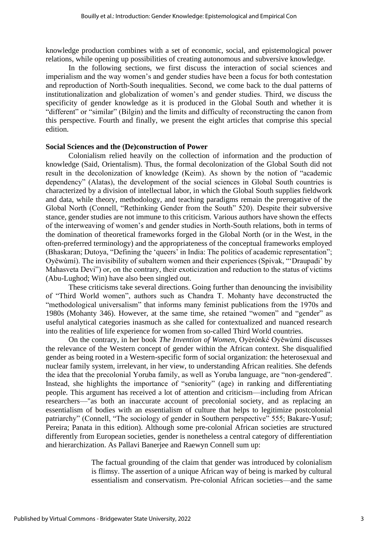knowledge production combines with a set of economic, social, and epistemological power relations, while opening up possibilities of creating autonomous and subversive knowledge.

In the following sections, we first discuss the interaction of social sciences and imperialism and the way women's and gender studies have been a focus for both contestation and reproduction of North-South inequalities. Second, we come back to the dual patterns of institutionalization and globalization of women's and gender studies. Third, we discuss the specificity of gender knowledge as it is produced in the Global South and whether it is "different" or "similar" (Bilgin) and the limits and difficulty of reconstructing the canon from this perspective. Fourth and finally, we present the eight articles that comprise this special edition.

#### **Social Sciences and the (De)construction of Power**

Colonialism relied heavily on the collection of information and the production of knowledge (Said, Orientalism). Thus, the formal decolonization of the Global South did not result in the decolonization of knowledge (Keim). As shown by the notion of "academic dependency" (Alatas), the development of the social sciences in Global South countries is characterized by a division of intellectual labor, in which the Global South supplies fieldwork and data, while theory, methodology, and teaching paradigms remain the prerogative of the Global North (Connell, "Rethinking Gender from the South" 520). Despite their subversive stance, gender studies are not immune to this criticism. Various authors have shown the effects of the interweaving of women's and gender studies in North-South relations, both in terms of the domination of theoretical frameworks forged in the Global North (or in the West, in the often-preferred terminology) and the appropriateness of the conceptual frameworks employed (Bhaskaran; Dutoya, "Defining the 'queers' in India: The politics of academic representation"; Oyěwùmí). The invisibility of subaltern women and their experiences (Spivak, "'Draupadi' by Mahasveta Devi") or, on the contrary, their exoticization and reduction to the status of victims (Abu-Lughod; Win) have also been singled out.

These criticisms take several directions. Going further than denouncing the invisibility of "Third World women", authors such as Chandra T. Mohanty have deconstructed the "methodological universalism" that informs many feminist publications from the 1970s and 1980s (Mohanty 346). However, at the same time, she retained "women" and "gender" as useful analytical categories inasmuch as she called for contextualized and nuanced research into the realities of life experience for women from so-called Third World countries.

On the contrary, in her book *The Invention of Women,* Oyèrónké Oyěwùmí discusses the relevance of the Western concept of gender within the African context. She disqualified gender as being rooted in a Western-specific form of social organization: the heterosexual and nuclear family system, irrelevant, in her view, to understanding African realities. She defends the idea that the precolonial Yoruba family, as well as Yoruba language, are "non-gendered". Instead, she highlights the importance of "seniority" (age) in ranking and differentiating people. This argument has received a lot of attention and criticism—including from African researchers—"as both an inaccurate account of precolonial society, and as replacing an essentialism of bodies with an essentialism of culture that helps to legitimize postcolonial patriarchy" (Connell, "The sociology of gender in Southern perspective" 555; Bakare-Yusuf; Pereira; Panata in this edition). Although some pre-colonial African societies are structured differently from European societies, gender is nonetheless a central category of differentiation and hierarchization. As Pallavi Banerjee and Raewyn Connell sum up:

> The factual grounding of the claim that gender was introduced by colonialism is flimsy. The assertion of a unique African way of being is marked by cultural essentialism and conservatism. Pre-colonial African societies—and the same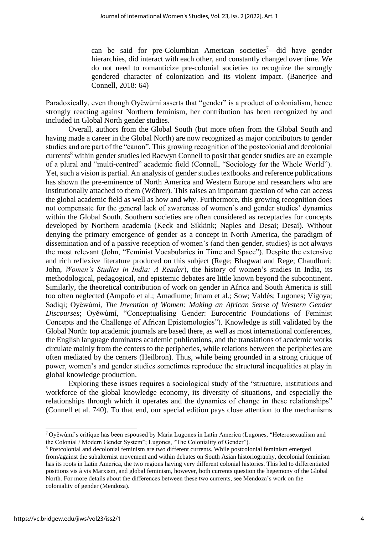can be said for pre-Columbian American societies<sup>7</sup>—did have gender hierarchies, did interact with each other, and constantly changed over time. We do not need to romanticize pre-colonial societies to recognize the strongly gendered character of colonization and its violent impact. (Banerjee and Connell, 2018: 64)

Paradoxically, even though Oyěwùmí asserts that "gender" is a product of colonialism, hence strongly reacting against Northern feminism, her contribution has been recognized by and included in Global North gender studies.

Overall, authors from the Global South (but more often from the Global South and having made a career in the Global North) are now recognized as major contributors to gender studies and are part of the "canon". This growing recognition of the postcolonial and decolonial currents<sup>8</sup> within gender studies led Raewyn Connell to posit that gender studies are an example of a plural and "multi-centred" academic field (Connell, "Sociology for the Whole World"). Yet, such a vision is partial. An analysis of gender studies textbooks and reference publications has shown the pre-eminence of North America and Western Europe and researchers who are institutionally attached to them (Wöhrer). This raises an important question of who can access the global academic field as well as how and why. Furthermore, this growing recognition does not compensate for the general lack of awareness of women's and gender studies' dynamics within the Global South. Southern societies are often considered as receptacles for concepts developed by Northern academia (Keck and Sikkink; Naples and Desai; Desai). Without denying the primary emergence of gender as a concept in North America, the paradigm of dissemination and of a passive reception of women's (and then gender, studies) is not always the most relevant (John, "Feminist Vocabularies in Time and Space"). Despite the extensive and rich reflexive literature produced on this subject (Rege; Bhagwat and Rege; Chaudhuri; John, *Women's Studies in India: A Reader*), the history of women's studies in India, its methodological, pedagogical, and epistemic debates are little known beyond the subcontinent. Similarly, the theoretical contribution of work on gender in Africa and South America is still too often neglected (Ampofo et al.; Amadiume; Imam et al.; Sow; Valdés; Lugones; Vigoya; Sadiqi; Oyěwùmí, *The Invention of Women: Making an African Sense of Western Gender Discourses*; Oyěwùmí, "Conceptualising Gender: Eurocentric Foundations of Feminist Concepts and the Challenge of African Epistemologies"). Knowledge is still validated by the Global North: top academic journals are based there, as well as most international conferences, the English language dominates academic publications, and the translations of academic works circulate mainly from the centers to the peripheries, while relations between the peripheries are often mediated by the centers (Heilbron). Thus, while being grounded in a strong critique of power, women's and gender studies sometimes reproduce the structural inequalities at play in global knowledge production.

Exploring these issues requires a sociological study of the "structure, institutions and workforce of the global knowledge economy, its diversity of situations, and especially the relationships through which it operates and the dynamics of change in these relationships" (Connell et al. 740). To that end, our special edition pays close attention to the mechanisms

 $7$  Oyěwùmí's critique has been espoused by Maria Lugones in Latin America (Lugones, "Heterosexualism and the Colonial / Modern Gender System"; Lugones, "The Coloniality of Gender").

<sup>8</sup> Postcolonial and decolonial feminism are two different currents. While postcolonial feminism emerged from/against the subalternist movement and within debates on South Asian historiography, decolonial feminism has its roots in Latin America, the two regions having very different colonial histories. This led to differentiated positions vis à vis Marxism, and global feminism, however, both currents question the hegemony of the Global North. For more details about the differences between these two currents, see Mendoza's work on the coloniality of gender (Mendoza).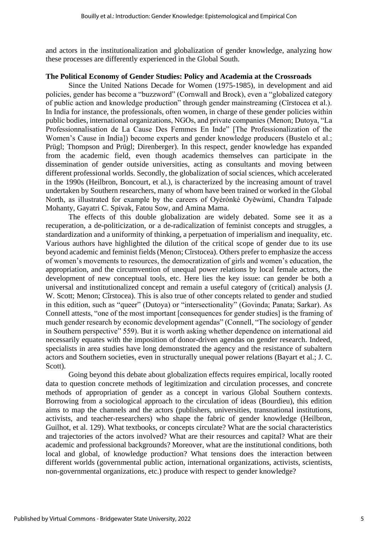and actors in the institutionalization and globalization of gender knowledge, analyzing how these processes are differently experienced in the Global South.

## **The Political Economy of Gender Studies: Policy and Academia at the Crossroads**

Since the United Nations Decade for Women (1975-1985), in development and aid policies, gender has become a "buzzword" (Cornwall and Brock), even a "globalized category of public action and knowledge production" through gender mainstreaming (Cîrstocea et al.). In India for instance, the professionals, often women, in charge of these gender policies within public bodies, international organizations, NGOs, and private companies (Menon; Dutoya, "La Professionnalisation de La Cause Des Femmes En Inde" [The Professionalization of the Women's Cause in India]) become experts and gender knowledge producers (Bustelo et al.; Prügl; Thompson and Prügl; Direnberger). In this respect, gender knowledge has expanded from the academic field, even though academics themselves can participate in the dissemination of gender outside universities, acting as consultants and moving between different professional worlds. Secondly, the globalization of social sciences, which accelerated in the 1990s (Heilbron, Boncourt, et al.), is characterized by the increasing amount of travel undertaken by Southern researchers, many of whom have been trained or worked in the Global North, as illustrated for example by the careers of Oyèrónké Oyěwùmí, Chandra Talpade Mohanty, Gayatri C. Spivak, Fatou Sow, and Amina Mama.

The effects of this double globalization are widely debated. Some see it as a recuperation, a de-politicization, or a de-radicalization of feminist concepts and struggles, a standardization and a uniformity of thinking, a perpetuation of imperialism and inequality, etc. Various authors have highlighted the dilution of the critical scope of gender due to its use beyond academic and feminist fields (Menon; Cîrstocea). Others prefer to emphasize the access of women's movements to resources, the democratization of girls and women's education, the appropriation, and the circumvention of unequal power relations by local female actors, the development of new conceptual tools, etc. Here lies the key issue: can gender be both a universal and institutionalized concept and remain a useful category of (critical) analysis (J. W. Scott: Menon: Cîrstocea). This is also true of other concepts related to gender and studied in this edition, such as "queer" (Dutoya) or "intersectionality" (Govinda; Panata; Sarkar). As Connell attests, "one of the most important [consequences for gender studies] is the framing of much gender research by economic development agendas" (Connell, "The sociology of gender in Southern perspective" 559). But it is worth asking whether dependence on international aid necessarily equates with the imposition of donor-driven agendas on gender research. Indeed, specialists in area studies have long demonstrated the agency and the resistance of subaltern actors and Southern societies, even in structurally unequal power relations (Bayart et al.; J. C. Scott).

Going beyond this debate about globalization effects requires empirical, locally rooted data to question concrete methods of legitimization and circulation processes, and concrete methods of appropriation of gender as a concept in various Global Southern contexts. Borrowing from a sociological approach to the circulation of ideas (Bourdieu), this edition aims to map the channels and the actors (publishers, universities, transnational institutions, activists, and teacher-researchers) who shape the fabric of gender knowledge (Heilbron, Guilhot, et al. 129). What textbooks, or concepts circulate? What are the social characteristics and trajectories of the actors involved? What are their resources and capital? What are their academic and professional backgrounds? Moreover, what are the institutional conditions, both local and global, of knowledge production? What tensions does the interaction between different worlds (governmental public action, international organizations, activists, scientists, non-governmental organizations, etc.) produce with respect to gender knowledge?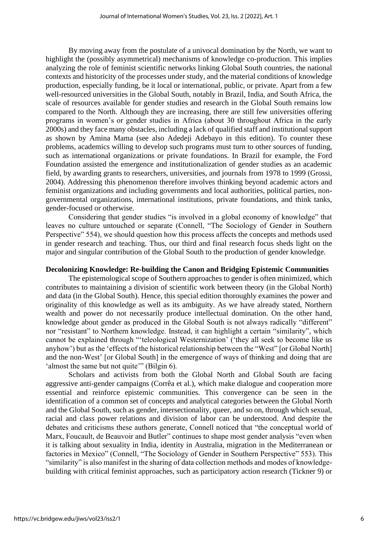By moving away from the postulate of a univocal domination by the North, we want to highlight the (possibly asymmetrical) mechanisms of knowledge co-production. This implies analyzing the role of feminist scientific networks linking Global South countries, the national contexts and historicity of the processes under study, and the material conditions of knowledge production, especially funding, be it local or international, public, or private. Apart from a few well-resourced universities in the Global South, notably in Brazil, India, and South Africa, the scale of resources available for gender studies and research in the Global South remains low compared to the North. Although they are increasing, there are still few universities offering programs in women's or gender studies in Africa (about 30 throughout Africa in the early 2000s) and they face many obstacles, including a lack of qualified staff and institutional support as shown by Amina Mama (see also Adedeji Adebayo in this edition). To counter these problems, academics willing to develop such programs must turn to other sources of funding, such as international organizations or private foundations. In Brazil for example, the Ford Foundation assisted the emergence and institutionalization of gender studies as an academic field, by awarding grants to researchers, universities, and journals from 1978 to 1999 (Grossi, 2004). Addressing this phenomenon therefore involves thinking beyond academic actors and feminist organizations and including governments and local authorities, political parties, nongovernmental organizations, international institutions, private foundations, and think tanks, gender-focused or otherwise.

Considering that gender studies "is involved in a global economy of knowledge" that leaves no culture untouched or separate (Connell, "The Sociology of Gender in Southern Perspective" 554), we should question how this process affects the concepts and methods used in gender research and teaching. Thus, our third and final research focus sheds light on the major and singular contribution of the Global South to the production of gender knowledge.

#### **Decolonizing Knowledge: Re-building the Canon and Bridging Epistemic Communities**

The epistemological scope of Southern approaches to gender is often minimized, which contributes to maintaining a division of scientific work between theory (in the Global North) and data (in the Global South). Hence, this special edition thoroughly examines the power and originality of this knowledge as well as its ambiguity. As we have already stated, Northern wealth and power do not necessarily produce intellectual domination. On the other hand, knowledge about gender as produced in the Global South is not always radically "different" nor "resistant" to Northern knowledge. Instead, it can highlight a certain "similarity", which cannot be explained through "'teleological Westernization' ('they all seek to become like us anyhow') but as the 'effects of the historical relationship between the "West" [or Global North] and the non-West' [or Global South] in the emergence of ways of thinking and doing that are 'almost the same but not quite'" (Bilgin 6).

Scholars and activists from both the Global North and Global South are facing aggressive anti-gender campaigns (Corrêa et al.), which make dialogue and cooperation more essential and reinforce epistemic communities. This convergence can be seen in the identification of a common set of concepts and analytical categories between the Global North and the Global South, such as gender, intersectionality, queer, and so on, through which sexual, racial and class power relations and division of labor can be understood. And despite the debates and criticisms these authors generate, Connell noticed that "the conceptual world of Marx, Foucault, de Beauvoir and Butler" continues to shape most gender analysis "even when it is talking about sexuality in India, identity in Australia, migration in the Mediterranean or factories in Mexico" (Connell, "The Sociology of Gender in Southern Perspective" 553). This "similarity" is also manifest in the sharing of data collection methods and modes of knowledgebuilding with critical feminist approaches, such as participatory action research (Tickner 9) or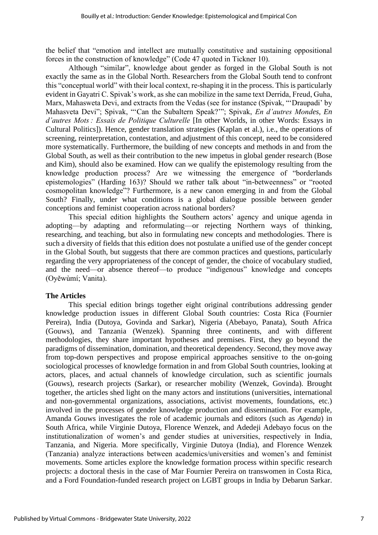the belief that "emotion and intellect are mutually constitutive and sustaining oppositional forces in the construction of knowledge" (Code 47 quoted in Tickner 10).

Although "similar", knowledge about gender as forged in the Global South is not exactly the same as in the Global North. Researchers from the Global South tend to confront this "conceptual world" with their local context, re-shaping it in the process. This is particularly evident in Gayatri C. Spivak's work, as she can mobilize in the same text Derrida, Freud, Guha, Marx, Mahasweta Devi, and extracts from the Vedas (see for instance (Spivak, "'Draupadi' by Mahasveta Devi"; Spivak, "'Can the Subaltern Speak?'"; Spivak, *En d'autres Mondes, En d'autres Mots : Essais de Politique Culturelle* [In other Worlds, in other Words: Essays in Cultural Politics]). Hence, gender translation strategies (Kaplan et al.), i.e., the operations of screening, reinterpretation, contestation, and adjustment of this concept, need to be considered more systematically. Furthermore, the building of new concepts and methods in and from the Global South, as well as their contribution to the new impetus in global gender research (Bose and Kim), should also be examined. How can we qualify the epistemology resulting from the knowledge production process? Are we witnessing the emergence of "borderlands epistemologies" (Harding 163)? Should we rather talk about "in-betweenness" or "rooted cosmopolitan knowledge"? Furthermore, is a new canon emerging in and from the Global South? Finally, under what conditions is a global dialogue possible between gender conceptions and feminist cooperation across national borders?

This special edition highlights the Southern actors' agency and unique agenda in adopting—by adapting and reformulating—or rejecting Northern ways of thinking, researching, and teaching, but also in formulating new concepts and methodologies. There is such a diversity of fields that this edition does not postulate a unified use of the gender concept in the Global South, but suggests that there are common practices and questions, particularly regarding the very appropriateness of the concept of gender, the choice of vocabulary studied, and the need—or absence thereof—to produce "indigenous" knowledge and concepts (Oyěwùmí; Vanita).

## **The Articles**

This special edition brings together eight original contributions addressing gender knowledge production issues in different Global South countries: Costa Rica (Fournier Pereira), India (Dutoya, Govinda and Sarkar), Nigeria (Abebayo, Panata), South Africa (Gouws), and Tanzania (Wenzek). Spanning three continents, and with different methodologies, they share important hypotheses and premises. First, they go beyond the paradigms of dissemination, domination, and theoretical dependency. Second, they move away from top-down perspectives and propose empirical approaches sensitive to the on-going sociological processes of knowledge formation in and from Global South countries, looking at actors, places, and actual channels of knowledge circulation, such as scientific journals (Gouws), research projects (Sarkar), or researcher mobility (Wenzek, Govinda). Brought together, the articles shed light on the many actors and institutions (universities, international and non-governmental organizations, associations, activist movements, foundations, etc.) involved in the processes of gender knowledge production and dissemination. For example, Amanda Gouws investigates the role of academic journals and editors (such as *Agenda*) in South Africa, while Virginie Dutoya, Florence Wenzek, and Adedeji Adebayo focus on the institutionalization of women's and gender studies at universities, respectively in India, Tanzania, and Nigeria. More specifically, Virginie Dutoya (India), and Florence Wenzek (Tanzania) analyze interactions between academics/universities and women's and feminist movements. Some articles explore the knowledge formation process within specific research projects: a doctoral thesis in the case of Mar Fournier Pereira on transwomen in Costa Rica, and a Ford Foundation-funded research project on LGBT groups in India by Debarun Sarkar.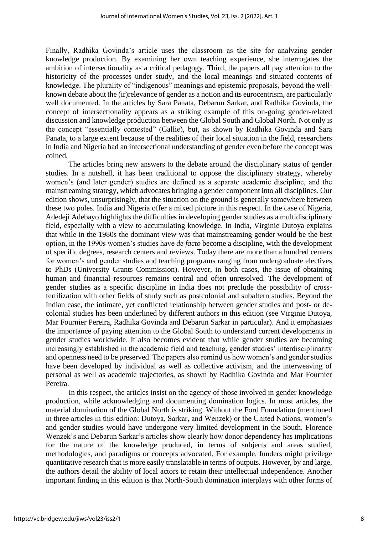Finally, Radhika Govinda's article uses the classroom as the site for analyzing gender knowledge production. By examining her own teaching experience, she interrogates the ambition of intersectionality as a critical pedagogy. Third, the papers all pay attention to the historicity of the processes under study, and the local meanings and situated contents of knowledge. The plurality of "indigenous" meanings and epistemic proposals, beyond the wellknown debate about the (ir)relevance of gender as a notion and its eurocentrism, are particularly well documented. In the articles by Sara Panata, Debarun Sarkar, and Radhika Govinda, the concept of intersectionality appears as a striking example of this on-going gender-related discussion and knowledge production between the Global South and Global North. Not only is the concept "essentially contested" (Gallie), but, as shown by Radhika Govinda and Sara Panata, to a large extent because of the realities of their local situation in the field, researchers in India and Nigeria had an intersectional understanding of gender even before the concept was coined.

The articles bring new answers to the debate around the disciplinary status of gender studies. In a nutshell, it has been traditional to oppose the disciplinary strategy, whereby women's (and later gender) studies are defined as a separate academic discipline, and the mainstreaming strategy, which advocates bringing a gender component into all disciplines. Our edition shows, unsurprisingly, that the situation on the ground is generally somewhere between these two poles. India and Nigeria offer a mixed picture in this respect. In the case of Nigeria, Adedeji Adebayo highlights the difficulties in developing gender studies as a multidisciplinary field, especially with a view to accumulating knowledge. In India, Virginie Dutoya explains that while in the 1980s the dominant view was that mainstreaming gender would be the best option, in the 1990s women's studies have *de facto* become a discipline, with the development of specific degrees, research centers and reviews. Today there are more than a hundred centers for women's and gender studies and teaching programs ranging from undergraduate electives to PhDs (University Grants Commission). However, in both cases, the issue of obtaining human and financial resources remains central and often unresolved. The development of gender studies as a specific discipline in India does not preclude the possibility of crossfertilization with other fields of study such as postcolonial and subaltern studies. Beyond the Indian case, the intimate, yet conflicted relationship between gender studies and post- or decolonial studies has been underlined by different authors in this edition (see Virginie Dutoya, Mar Fournier Pereira, Radhika Govinda and Debarun Sarkar in particular). And it emphasizes the importance of paying attention to the Global South to understand current developments in gender studies worldwide. It also becomes evident that while gender studies are becoming increasingly established in the academic field and teaching, gender studies' interdisciplinarity and openness need to be preserved. The papers also remind us how women's and gender studies have been developed by individual as well as collective activism, and the interweaving of personal as well as academic trajectories, as shown by Radhika Govinda and Mar Fournier Pereira.

In this respect, the articles insist on the agency of those involved in gender knowledge production, while acknowledging and documenting domination logics. In most articles, the material domination of the Global North is striking. Without the Ford Foundation (mentioned in three articles in this edition: Dutoya, Sarkar, and Wenzek) or the United Nations, women's and gender studies would have undergone very limited development in the South. Florence Wenzek's and Debarun Sarkar's articles show clearly how donor dependency has implications for the nature of the knowledge produced, in terms of subjects and areas studied, methodologies, and paradigms or concepts advocated. For example, funders might privilege quantitative research that is more easily translatable in terms of outputs. However, by and large, the authors detail the ability of local actors to retain their intellectual independence. Another important finding in this edition is that North-South domination interplays with other forms of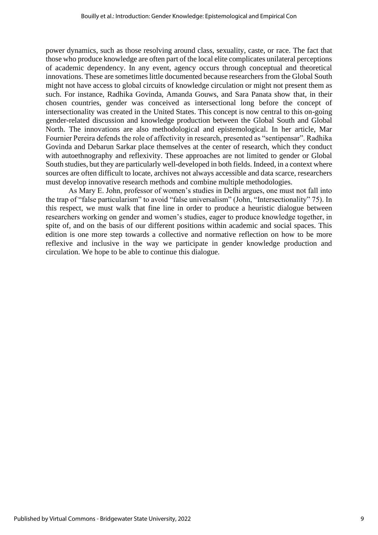power dynamics, such as those resolving around class, sexuality, caste, or race. The fact that those who produce knowledge are often part of the local elite complicates unilateral perceptions of academic dependency. In any event, agency occurs through conceptual and theoretical innovations. These are sometimes little documented because researchers from the Global South might not have access to global circuits of knowledge circulation or might not present them as such. For instance, Radhika Govinda, Amanda Gouws, and Sara Panata show that, in their chosen countries, gender was conceived as intersectional long before the concept of intersectionality was created in the United States. This concept is now central to this on-going gender-related discussion and knowledge production between the Global South and Global North. The innovations are also methodological and epistemological. In her article, Mar Fournier Pereira defends the role of affectivity in research, presented as "sentipensar". Radhika Govinda and Debarun Sarkar place themselves at the center of research, which they conduct with autoethnography and reflexivity. These approaches are not limited to gender or Global South studies, but they are particularly well-developed in both fields. Indeed, in a context where sources are often difficult to locate, archives not always accessible and data scarce, researchers must develop innovative research methods and combine multiple methodologies.

As Mary E. John, professor of women's studies in Delhi argues, one must not fall into the trap of "false particularism" to avoid "false universalism" (John, "Intersectionality" 75). In this respect, we must walk that fine line in order to produce a heuristic dialogue between researchers working on gender and women's studies, eager to produce knowledge together, in spite of, and on the basis of our different positions within academic and social spaces. This edition is one more step towards a collective and normative reflection on how to be more reflexive and inclusive in the way we participate in gender knowledge production and circulation. We hope to be able to continue this dialogue.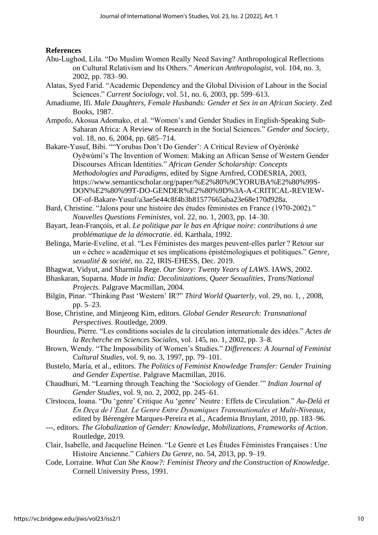## **References**

- Abu-Lughod, Lila. "Do Muslim Women Really Need Saving? Anthropological Reflections on Cultural Relativism and Its Others." *American Anthropologist*, vol. 104, no. 3, 2002, pp. 783–90.
- Alatas, Syed Farid. "Academic Dependency and the Global Division of Labour in the Social Sciences." *Current Sociology*, vol. 51, no. 6, 2003, pp. 599–613.
- Amadiume, Ifi. *Male Daughters, Female Husbands: Gender et Sex in an African Society*. Zed Books, 1987.
- Ampofo, Akosua Adomako, et al. "Women's and Gender Studies in English-Speaking Sub-Saharan Africa: A Review of Research in the Social Sciences." *Gender and Society*, vol. 18, no. 6, 2004, pp. 685–714.
- Bakare-Yusuf, Bibi. ""Yorubas Don't Do Gender': A Critical Review of Oyèrónké Oyěwùmí's The Invention of Women: Making an African Sense of Western Gender Discourses African Identities." *African Gender Scholarship: Concepts Methodologies and Paradigms*, edited by Signe Arnfred, CODESRIA, 2003, https://www.semanticscholar.org/paper/%E2%80%9CYORUBA%E2%80%99S-DON%E2%80%99T-DO-GENDER%E2%80%9D%3A-A-CRITICAL-REVIEW-OF-of-Bakare-Yusuf/a3ae5e44c8f4b3b81577665aba23e68e170d928a.
- Bard, Christine. "Jalons pour une histoire des études féministes en France (1970-2002)." *Nouvelles Questions Feministes*, vol. 22, no. 1, 2003, pp. 14–30.
- Bayart, Jean-François, et al. *Le politique par le bas en Afrique noire: contributions à une problématique de la démocratie*. éd. Karthala, 1992.
- Belinga, Marie-Eveline, et al. "Les Féministes des marges peuvent-elles parler ? Retour sur un « échec » académique et ses implications épistémologiques et politiques." *Genre, sexualité & société*, no. 22, IRIS-EHESS, Dec. 2019.
- Bhagwat, Vidyut, and Sharmila Rege. *Our Story: Twenty Years of LAWS*. IAWS, 2002.
- Bhaskaran, Suparna. *Made in India: Decolinizations, Queer Sexualities, Trans/National Projects*. Palgrave Macmillan, 2004.
- Bilgin, Pinar. "Thinking Past 'Western' IR?" *Third World Quarterly*, vol. 29, no. 1, , 2008, pp. 5–23.
- Bose, Christine, and Minjeong Kim, editors. *Global Gender Research: Transnational Perspectives*. Routledge, 2009.
- Bourdieu, Pierre. "Les conditions sociales de la circulation internationale des idées." *Actes de la Recherche en Sciences Sociales*, vol. 145, no. 1, 2002, pp. 3–8.
- Brown, Wendy. "The Impossibility of Women's Studies." *Differences: A Journal of Feminist Cultural Studies*, vol. 9, no. 3, 1997, pp. 79–101.
- Bustelo, María, et al., editors. *The Politics of Feminist Knowledge Transfer: Gender Training and Gender Expertise*. Palgrave Macmillan, 2016.
- Chaudhuri, M. "Learning through Teaching the 'Sociology of Gender.'" *Indian Journal of Gender Studies*, vol. 9, no. 2, 2002, pp. 245–61.
- Cîrstocea, Ioana. "Du 'genre' Critique Au 'genre' Neutre : Effets de Circulation." *Au-Delà et En Deça de l'État. Le Genre Entre Dynamiques Transnationales et Multi-Niveaux*, edited by Bérengère Marques-Pereira et al., Academia Bruylant, 2010, pp. 183–96.
- ---, editors. *The Globalization of Gender: Knowledge, Mobilizations, Frameworks of Action*. Routledge, 2019.
- Clair, Isabelle, and Jacqueline Heinen. "Le Genre et Les Études Féministes Françaises : Une Histoire Ancienne." *Cahiers Du Genre*, no. 54, 2013, pp. 9–19.
- Code, Lorraine. *What Can She Know?: Feminist Theory and the Construction of Knowledge*. Cornell University Press, 1991.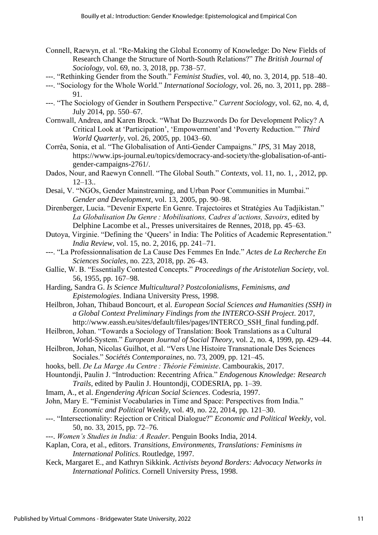- Connell, Raewyn, et al. "Re-Making the Global Economy of Knowledge: Do New Fields of Research Change the Structure of North-South Relations?" *The British Journal of Sociology*, vol. 69, no. 3, 2018, pp. 738–57.
- ---. "Rethinking Gender from the South." *Feminist Studies*, vol. 40, no. 3, 2014, pp. 518–40.
- ---. "Sociology for the Whole World." *International Sociology*, vol. 26, no. 3, 2011, pp. 288– 91.
- ---. "The Sociology of Gender in Southern Perspective." *Current Sociology*, vol. 62, no. 4, d, July 2014, pp. 550–67.
- Cornwall, Andrea, and Karen Brock. "What Do Buzzwords Do for Development Policy? A Critical Look at 'Participation', 'Empowerment'and 'Poverty Reduction.'" *Third World Quarterly*, vol. 26, 2005, pp. 1043–60.
- Corrêa, Sonia, et al. "The Globalisation of Anti-Gender Campaigns." *IPS*, 31 May 2018, https://www.ips-journal.eu/topics/democracy-and-society/the-globalisation-of-antigender-campaigns-2761/.
- Dados, Nour, and Raewyn Connell. "The Global South." *Contexts*, vol. 11, no. 1, , 2012, pp.  $12-13.$ .
- Desai, V. "NGOs, Gender Mainstreaming, and Urban Poor Communities in Mumbai." *Gender and Development*, vol. 13, 2005, pp. 90–98.
- Direnberger, Lucia. "Devenir Experte En Genre. Trajectoires et Stratégies Au Tadjikistan." *La Globalisation Du Genre : Mobilisations, Cadres d'actions, Savoirs*, edited by Delphine Lacombe et al., Presses universitaires de Rennes, 2018, pp. 45–63.
- Dutoya, Virginie. "Defining the 'Queers' in India: The Politics of Academic Representation." *India Review*, vol. 15, no. 2, 2016, pp. 241–71.
- ---. "La Professionnalisation de La Cause Des Femmes En Inde." *Actes de La Recherche En Sciences Sociales*, no. 223, 2018, pp. 26–43.
- Gallie, W. B. "Essentially Contested Concepts." *Proceedings of the Aristotelian Society*, vol. 56, 1955, pp. 167–98.
- Harding, Sandra G. *Is Science Multicultural? Postcolonialisms, Feminisms, and Epistemologies*. Indiana University Press, 1998.
- Heilbron, Johan, Thibaud Boncourt, et al. *European Social Sciences and Humanities (SSH) in a Global Context Preliminary Findings from the INTERCO-SSH Project*. 2017, http://www.eassh.eu/sites/default/files/pages/INTERCO\_SSH\_final funding.pdf.
- Heilbron, Johan. "Towards a Sociology of Translation: Book Translations as a Cultural World-System." *European Journal of Social Theory*, vol. 2, no. 4, 1999, pp. 429–44.
- Heilbron, Johan, Nicolas Guilhot, et al. "Vers Une Histoire Transnationale Des Sciences Sociales." *Sociétés Contemporaines*, no. 73, 2009, pp. 121–45.
- hooks, bell. *De La Marge Au Centre : Théorie Féministe*. Cambourakis, 2017.
- Hountondji, Paulin J. "Introduction: Recentring Africa." *Endogenous Knowledge: Research Trails*, edited by Paulin J. Hountondji, CODESRIA, pp. 1–39.
- Imam, A., et al. *Engendering African Social Sciences*. Codesria, 1997.
- John, Mary E. "Feminist Vocabularies in Time and Space: Perspectives from India."
	- *Economic and Political Weekly*, vol. 49, no. 22, 2014, pp. 121–30.
- ---. "Intersectionality: Rejection or Critical Dialogue?" *Economic and Political Weekly*, vol. 50, no. 33, 2015, pp. 72–76.
- ---. *Women's Studies in India: A Reader*. Penguin Books India, 2014.
- Kaplan, Cora, et al., editors. *Transitions, Environments, Translations: Feminisms in International Politics*. Routledge, 1997.
- Keck, Margaret E., and Kathryn Sikkink. *Activists beyond Borders: Advocacy Networks in International Politics*. Cornell University Press, 1998.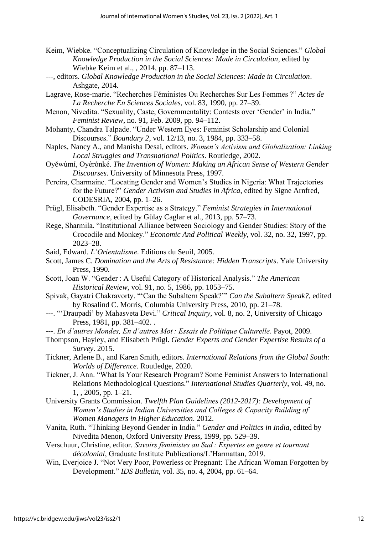- Keim, Wiebke. "Conceptualizing Circulation of Knowledge in the Social Sciences." *Global Knowledge Production in the Social Sciences: Made in Circulation*, edited by Wiebke Keim et al., , 2014, pp. 87–113.
- ---, editors. *Global Knowledge Production in the Social Sciences: Made in Circulation*. Ashgate, 2014.
- Lagrave, Rose-marie. "Recherches Féministes Ou Recherches Sur Les Femmes ?" *Actes de La Recherche En Sciences Sociales*, vol. 83, 1990, pp. 27–39.
- Menon, Nivedita. "Sexuality, Caste, Governmentality: Contests over 'Gender' in India." *Feminist Review*, no. 91, Feb. 2009, pp. 94–112.
- Mohanty, Chandra Talpade. "Under Western Eyes: Feminist Scholarship and Colonial Discourses." *Boundary 2*, vol. 12/13, no. 3, 1984, pp. 333–58.
- Naples, Nancy A., and Manisha Desai, editors. *Women's Activism and Globalization: Linking Local Struggles and Transnational Politics*. Routledge, 2002.
- Oyěwùmí, Oyèrónké. *The Invention of Women: Making an African Sense of Western Gender Discourses*. University of Minnesota Press, 1997.
- Pereira, Charmaine. "Locating Gender and Women's Studies in Nigeria: What Trajectories for the Future?" *Gender Activism and Studies in Africa*, edited by Signe Arnfred, CODESRIA, 2004, pp. 1–26.
- Prügl, Elisabeth. "Gender Expertise as a Strategy." *Feminist Strategies in International Governance*, edited by Gülay Caglar et al., 2013, pp. 57–73.
- Rege, Sharmila. "Institutional Alliance between Sociology and Gender Studies: Story of the Crocodile and Monkey." *Economic And Political Weekly*, vol. 32, no. 32, 1997, pp. 2023–28.
- Said, Edward. *L'Orientalisme*. Editions du Seuil, 2005.
- Scott, James C. *Domination and the Arts of Resistance: Hidden Transcripts*. Yale University Press, 1990.
- Scott, Joan W. "Gender : A Useful Category of Historical Analysis." *The American Historical Review*, vol. 91, no. 5, 1986, pp. 1053–75.
- Spivak, Gayatri Chakravorty. "'Can the Subaltern Speak?'" *Can the Subaltern Speak?*, edited by Rosalind C. Morris, Columbia University Press, 2010, pp. 21–78.
- ---. "'Draupadi' by Mahasveta Devi." *Critical Inquiry*, vol. 8, no. 2, University of Chicago Press, 1981, pp. 381–402. .
- ---. *En d'autres Mondes, En d'autres Mot : Essais de Politique Culturelle*. Payot, 2009.
- Thompson, Hayley, and Elisabeth Prügl. *Gender Experts and Gender Expertise Results of a Survey*. 2015.
- Tickner, Arlene B., and Karen Smith, editors. *International Relations from the Global South: Worlds of Difference*. Routledge, 2020.
- Tickner, J. Ann. "What Is Your Research Program? Some Feminist Answers to International Relations Methodological Questions." *International Studies Quarterly*, vol. 49, no. 1, , 2005, pp. 1–21.
- University Grants Commission. *Twelfth Plan Guidelines (2012-2017): Development of Women's Studies in Indian Universities and Colleges & Capacity Building of Women Managers in Higher Education*. 2012.
- Vanita, Ruth. "Thinking Beyond Gender in India." *Gender and Politics in India*, edited by Nivedita Menon, Oxford University Press, 1999, pp. 529–39.
- Verschuur, Christine, editor. *Savoirs féministes au Sud : Expertes en genre et tournant décolonial*, Graduate Institute Publications/L'Harmattan, 2019.
- Win, Everjoice J. "Not Very Poor, Powerless or Pregnant: The African Woman Forgotten by Development." *IDS Bulletin*, vol. 35, no. 4, 2004, pp. 61–64.